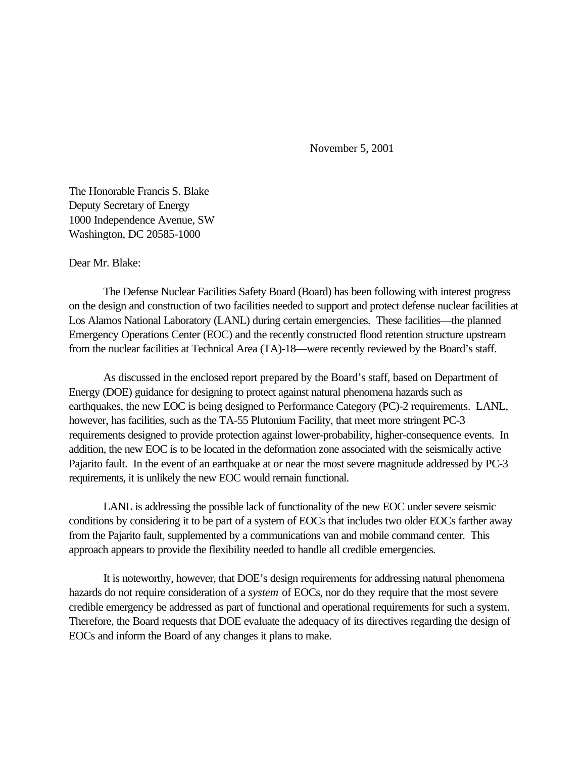November 5, 2001

The Honorable Francis S. Blake Deputy Secretary of Energy 1000 Independence Avenue, SW Washington, DC 20585-1000

Dear Mr. Blake:

The Defense Nuclear Facilities Safety Board (Board) has been following with interest progress on the design and construction of two facilities needed to support and protect defense nuclear facilities at Los Alamos National Laboratory (LANL) during certain emergencies. These facilities—the planned Emergency Operations Center (EOC) and the recently constructed flood retention structure upstream from the nuclear facilities at Technical Area (TA)-18—were recently reviewed by the Board's staff.

As discussed in the enclosed report prepared by the Board's staff, based on Department of Energy (DOE) guidance for designing to protect against natural phenomena hazards such as earthquakes, the new EOC is being designed to Performance Category (PC)-2 requirements. LANL, however, has facilities, such as the TA-55 Plutonium Facility, that meet more stringent PC-3 requirements designed to provide protection against lower-probability, higher-consequence events. In addition, the new EOC is to be located in the deformation zone associated with the seismically active Pajarito fault. In the event of an earthquake at or near the most severe magnitude addressed by PC-3 requirements, it is unlikely the new EOC would remain functional.

LANL is addressing the possible lack of functionality of the new EOC under severe seismic conditions by considering it to be part of a system of EOCs that includes two older EOCs farther away from the Pajarito fault, supplemented by a communications van and mobile command center. This approach appears to provide the flexibility needed to handle all credible emergencies.

It is noteworthy, however, that DOE's design requirements for addressing natural phenomena hazards do not require consideration of a *system* of EOCs, nor do they require that the most severe credible emergency be addressed as part of functional and operational requirements for such a system. Therefore, the Board requests that DOE evaluate the adequacy of its directives regarding the design of EOCs and inform the Board of any changes it plans to make.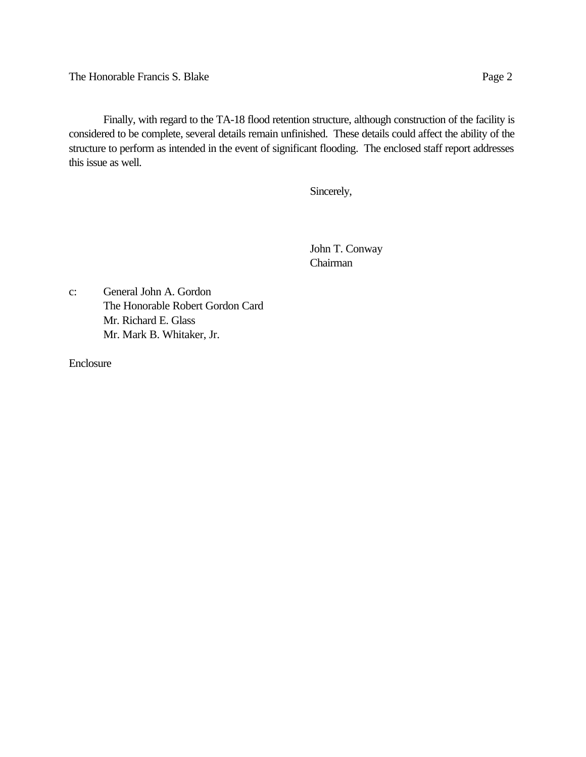The Honorable Francis S. Blake Page 2

Finally, with regard to the TA-18 flood retention structure, although construction of the facility is considered to be complete, several details remain unfinished. These details could affect the ability of the structure to perform as intended in the event of significant flooding. The enclosed staff report addresses this issue as well.

Sincerely,

John T. Conway Chairman

c: General John A. Gordon The Honorable Robert Gordon Card Mr. Richard E. Glass Mr. Mark B. Whitaker, Jr.

Enclosure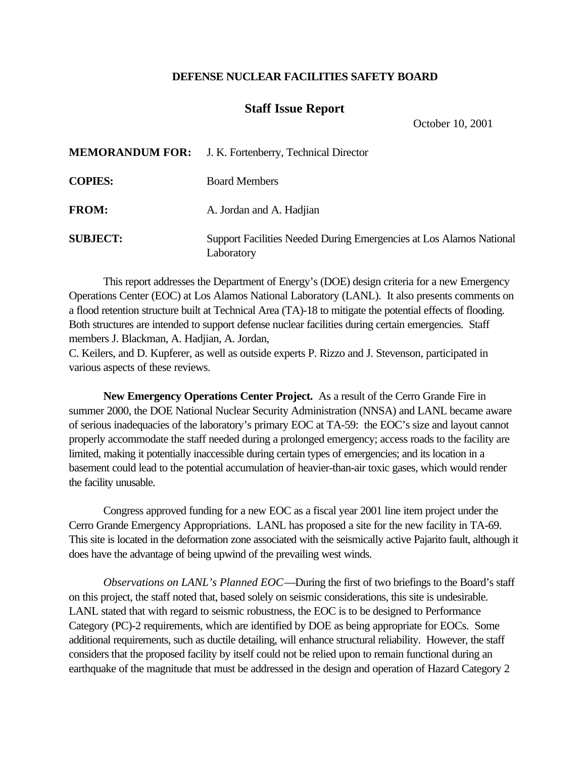## **DEFENSE NUCLEAR FACILITIES SAFETY BOARD**

## **Staff Issue Report**

October 10, 2001

|                 | <b>MEMORANDUM FOR:</b> J. K. Fortenberry, Technical Director                      |
|-----------------|-----------------------------------------------------------------------------------|
| <b>COPIES:</b>  | <b>Board Members</b>                                                              |
| <b>FROM:</b>    | A. Jordan and A. Hadjian                                                          |
| <b>SUBJECT:</b> | Support Facilities Needed During Emergencies at Los Alamos National<br>Laboratory |

This report addresses the Department of Energy's (DOE) design criteria for a new Emergency Operations Center (EOC) at Los Alamos National Laboratory (LANL). It also presents comments on a flood retention structure built at Technical Area (TA)-18 to mitigate the potential effects of flooding. Both structures are intended to support defense nuclear facilities during certain emergencies. Staff members J. Blackman, A. Hadjian, A. Jordan,

C. Keilers, and D. Kupferer, as well as outside experts P. Rizzo and J. Stevenson, participated in various aspects of these reviews.

**New Emergency Operations Center Project.** As a result of the Cerro Grande Fire in summer 2000, the DOE National Nuclear Security Administration (NNSA) and LANL became aware of serious inadequacies of the laboratory's primary EOC at TA-59: the EOC's size and layout cannot properly accommodate the staff needed during a prolonged emergency; access roads to the facility are limited, making it potentially inaccessible during certain types of emergencies; and its location in a basement could lead to the potential accumulation of heavier-than-air toxic gases, which would render the facility unusable.

Congress approved funding for a new EOC as a fiscal year 2001 line item project under the Cerro Grande Emergency Appropriations. LANL has proposed a site for the new facility in TA-69. This site is located in the deformation zone associated with the seismically active Pajarito fault, although it does have the advantage of being upwind of the prevailing west winds.

*Observations on LANL's Planned EOC*—During the first of two briefings to the Board's staff on this project, the staff noted that, based solely on seismic considerations, this site is undesirable. LANL stated that with regard to seismic robustness, the EOC is to be designed to Performance Category (PC)-2 requirements, which are identified by DOE as being appropriate for EOCs. Some additional requirements, such as ductile detailing, will enhance structural reliability. However, the staff considers that the proposed facility by itself could not be relied upon to remain functional during an earthquake of the magnitude that must be addressed in the design and operation of Hazard Category 2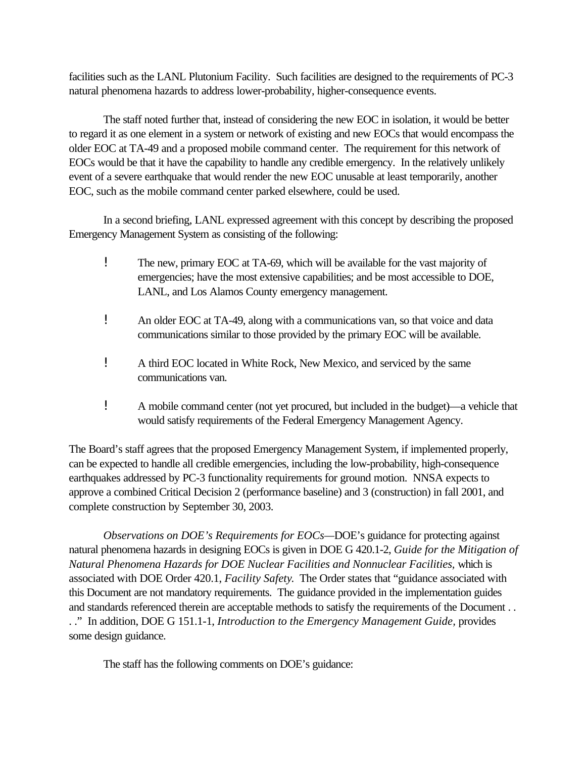facilities such as the LANL Plutonium Facility. Such facilities are designed to the requirements of PC-3 natural phenomena hazards to address lower-probability, higher-consequence events.

The staff noted further that, instead of considering the new EOC in isolation, it would be better to regard it as one element in a system or network of existing and new EOCs that would encompass the older EOC at TA-49 and a proposed mobile command center. The requirement for this network of EOCs would be that it have the capability to handle any credible emergency. In the relatively unlikely event of a severe earthquake that would render the new EOC unusable at least temporarily, another EOC, such as the mobile command center parked elsewhere, could be used.

In a second briefing, LANL expressed agreement with this concept by describing the proposed Emergency Management System as consisting of the following:

- ! The new, primary EOC at TA-69, which will be available for the vast majority of emergencies; have the most extensive capabilities; and be most accessible to DOE, LANL, and Los Alamos County emergency management.
- ! An older EOC at TA-49, along with a communications van, so that voice and data communications similar to those provided by the primary EOC will be available.
- ! A third EOC located in White Rock, New Mexico, and serviced by the same communications van.
- ! A mobile command center (not yet procured, but included in the budget)—a vehicle that would satisfy requirements of the Federal Emergency Management Agency.

The Board's staff agrees that the proposed Emergency Management System, if implemented properly, can be expected to handle all credible emergencies, including the low-probability, high-consequence earthquakes addressed by PC-3 functionality requirements for ground motion. NNSA expects to approve a combined Critical Decision 2 (performance baseline) and 3 (construction) in fall 2001, and complete construction by September 30, 2003.

*Observations on DOE's Requirements for EOCs—*DOE's guidance for protecting against natural phenomena hazards in designing EOCs is given in DOE G 420.1-2, *Guide for the Mitigation of Natural Phenomena Hazards for DOE Nuclear Facilities and Nonnuclear Facilities,* which is associated with DOE Order 420.1, *Facility Safety*. The Order states that "guidance associated with this Document are not mandatory requirements. The guidance provided in the implementation guides and standards referenced therein are acceptable methods to satisfy the requirements of the Document . . . ." In addition, DOE G 151.1-1, *Introduction to the Emergency Management Guide,* provides some design guidance.

The staff has the following comments on DOE's guidance: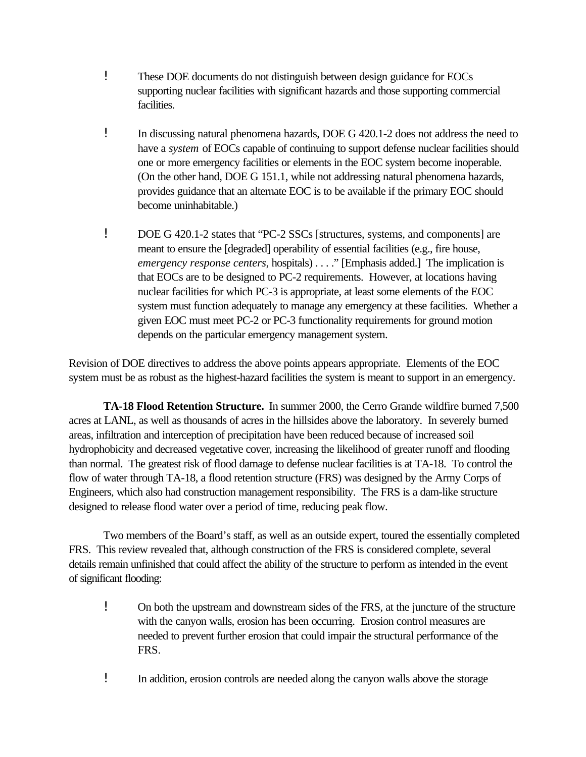- ! These DOE documents do not distinguish between design guidance for EOCs supporting nuclear facilities with significant hazards and those supporting commercial facilities.
- ! In discussing natural phenomena hazards, DOE G 420.1-2 does not address the need to have a *system* of EOCs capable of continuing to support defense nuclear facilities should one or more emergency facilities or elements in the EOC system become inoperable. (On the other hand, DOE G 151.1, while not addressing natural phenomena hazards, provides guidance that an alternate EOC is to be available if the primary EOC should become uninhabitable.)
- ! DOE G 420.1-2 states that "PC-2 SSCs [structures, systems, and components] are meant to ensure the [degraded] operability of essential facilities (e.g., fire house, *emergency response centers*, hospitals) . . . ." [Emphasis added.] The implication is that EOCs are to be designed to PC-2 requirements. However, at locations having nuclear facilities for which PC-3 is appropriate, at least some elements of the EOC system must function adequately to manage any emergency at these facilities. Whether a given EOC must meet PC-2 or PC-3 functionality requirements for ground motion depends on the particular emergency management system.

Revision of DOE directives to address the above points appears appropriate. Elements of the EOC system must be as robust as the highest-hazard facilities the system is meant to support in an emergency.

**TA-18 Flood Retention Structure.** In summer 2000, the Cerro Grande wildfire burned 7,500 acres at LANL, as well as thousands of acres in the hillsides above the laboratory. In severely burned areas, infiltration and interception of precipitation have been reduced because of increased soil hydrophobicity and decreased vegetative cover, increasing the likelihood of greater runoff and flooding than normal. The greatest risk of flood damage to defense nuclear facilities is at TA-18. To control the flow of water through TA-18, a flood retention structure (FRS) was designed by the Army Corps of Engineers, which also had construction management responsibility. The FRS is a dam-like structure designed to release flood water over a period of time, reducing peak flow.

Two members of the Board's staff, as well as an outside expert, toured the essentially completed FRS. This review revealed that, although construction of the FRS is considered complete, several details remain unfinished that could affect the ability of the structure to perform as intended in the event of significant flooding:

- ! On both the upstream and downstream sides of the FRS, at the juncture of the structure with the canyon walls, erosion has been occurring. Erosion control measures are needed to prevent further erosion that could impair the structural performance of the FRS.
- ! In addition, erosion controls are needed along the canyon walls above the storage